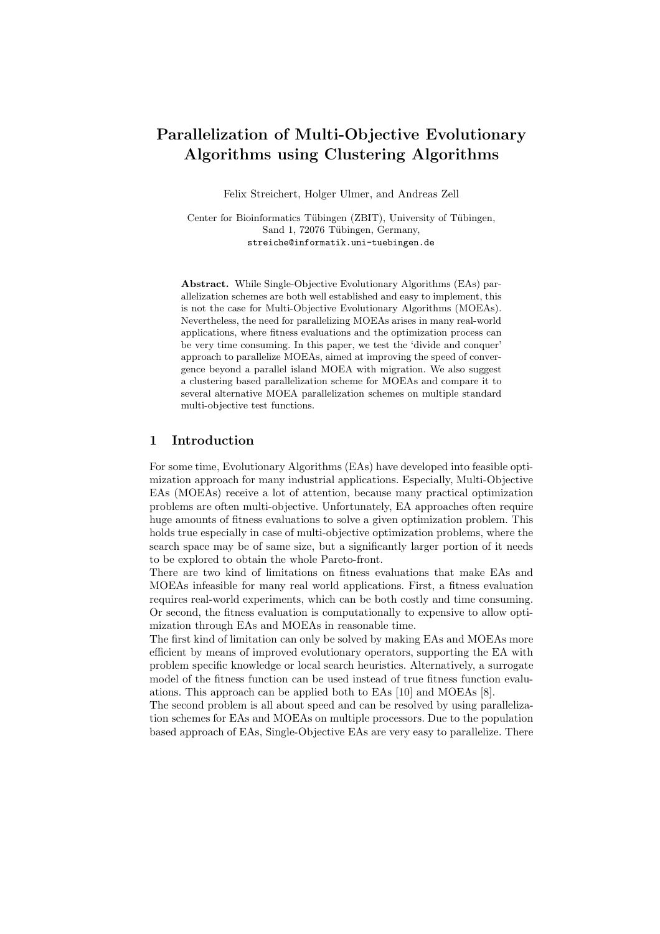# **Parallelization of Multi-Objective Evolutionary Algorithms using Clustering Algorithms**

Felix Streichert, Holger Ulmer, and Andreas Zell

Center for Bioinformatics Tübingen (ZBIT), University of Tübingen, Sand 1, 72076 Tübingen, Germany, streiche@informatik.uni-tuebingen.de

**Abstract.** While Single-Objective Evolutionary Algorithms (EAs) parallelization schemes are both well established and easy to implement, this is not the case for Multi-Objective Evolutionary Algorithms (MOEAs). Nevertheless, the need for parallelizing MOEAs arises in many real-world applications, where fitness evaluations and the optimization process can be very time consuming. In this paper, we test the 'divide and conquer' approach to parallelize MOEAs, aimed at improving the speed of convergence beyond a parallel island MOEA with migration. We also suggest a clustering based parallelization scheme for MOEAs and compare it to several alternative MOEA parallelization schemes on multiple standard multi-objective test functions.

### **1 Introduction**

For some time, Evolutionary Algorithms (EAs) have developed into feasible optimization approach for many industrial applications. Especially, Multi-Objective EAs (MOEAs) receive a lot of attention, because many practical optimization problems are often multi-objective. Unfortunately, EA approaches often require huge amounts of fitness evaluations to solve a given optimization problem. This holds true especially in case of multi-objective optimization problems, where the search space may be of same size, but a significantly larger portion of it needs to be explored to obtain the whole Pareto-front.

There are two kind of limitations on fitness evaluations that make EAs and MOEAs infeasible for many real world applications. First, a fitness evaluation requires real-world experiments, which can be both costly and time consuming. Or second, the fitness evaluation is computationally to expensive to allow optimization through EAs and MOEAs in reasonable time.

The first kind of limitation can only be solved by making EAs and MOEAs more efficient by means of improved evolutionary operators, supporting the EA with problem specific knowledge or local search heuristics. Alternatively, a surrogate model of the fitness function can be used instead of true fitness function evaluations. This approach can be applied both to EAs [10] and MOEAs [8].

The second problem is all about speed and can be resolved by using parallelization schemes for EAs and MOEAs on multiple processors. Due to the population based approach of EAs, Single-Objective EAs are very easy to parallelize. There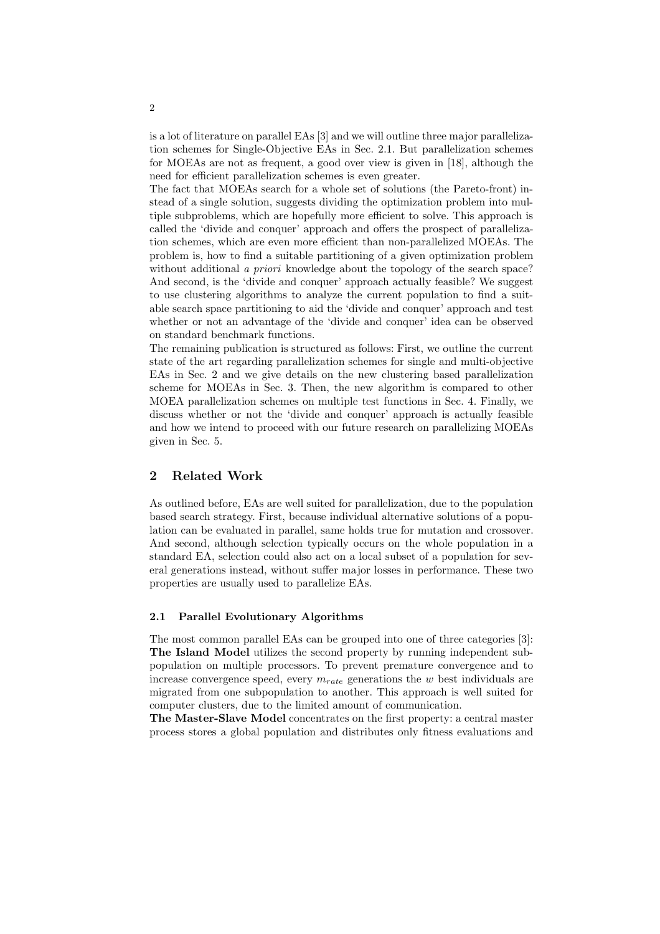is a lot of literature on parallel EAs [3] and we will outline three major parallelization schemes for Single-Objective EAs in Sec. 2.1. But parallelization schemes for MOEAs are not as frequent, a good over view is given in [18], although the need for efficient parallelization schemes is even greater.

The fact that MOEAs search for a whole set of solutions (the Pareto-front) instead of a single solution, suggests dividing the optimization problem into multiple subproblems, which are hopefully more efficient to solve. This approach is called the 'divide and conquer' approach and offers the prospect of parallelization schemes, which are even more efficient than non-parallelized MOEAs. The problem is, how to find a suitable partitioning of a given optimization problem without additional *a priori* knowledge about the topology of the search space? And second, is the 'divide and conquer' approach actually feasible? We suggest to use clustering algorithms to analyze the current population to find a suitable search space partitioning to aid the 'divide and conquer' approach and test whether or not an advantage of the 'divide and conquer' idea can be observed on standard benchmark functions.

The remaining publication is structured as follows: First, we outline the current state of the art regarding parallelization schemes for single and multi-objective EAs in Sec. 2 and we give details on the new clustering based parallelization scheme for MOEAs in Sec. 3. Then, the new algorithm is compared to other MOEA parallelization schemes on multiple test functions in Sec. 4. Finally, we discuss whether or not the 'divide and conquer' approach is actually feasible and how we intend to proceed with our future research on parallelizing MOEAs given in Sec. 5.

## **2 Related Work**

As outlined before, EAs are well suited for parallelization, due to the population based search strategy. First, because individual alternative solutions of a population can be evaluated in parallel, same holds true for mutation and crossover. And second, although selection typically occurs on the whole population in a standard EA, selection could also act on a local subset of a population for several generations instead, without suffer major losses in performance. These two properties are usually used to parallelize EAs.

#### **2.1 Parallel Evolutionary Algorithms**

The most common parallel EAs can be grouped into one of three categories [3]: **The Island Model** utilizes the second property by running independent subpopulation on multiple processors. To prevent premature convergence and to increase convergence speed, every <sup>m</sup>*rate* generations the <sup>w</sup> best individuals are migrated from one subpopulation to another. This approach is well suited for computer clusters, due to the limited amount of communication.

**The Master-Slave Model** concentrates on the first property: a central master process stores a global population and distributes only fitness evaluations and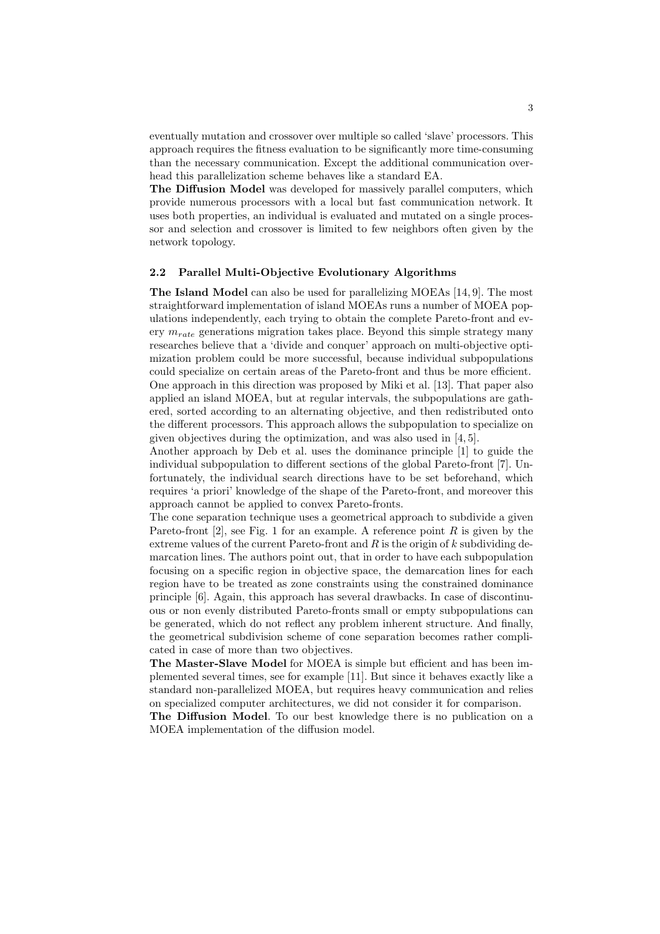eventually mutation and crossover over multiple so called 'slave' processors. This approach requires the fitness evaluation to be significantly more time-consuming than the necessary communication. Except the additional communication overhead this parallelization scheme behaves like a standard EA.

**The Diffusion Model** was developed for massively parallel computers, which provide numerous processors with a local but fast communication network. It uses both properties, an individual is evaluated and mutated on a single processor and selection and crossover is limited to few neighbors often given by the network topology.

### **2.2 Parallel Multi-Objective Evolutionary Algorithms**

**The Island Model** can also be used for parallelizing MOEAs [14, 9]. The most straightforward implementation of island MOEAs runs a number of MOEA populations independently, each trying to obtain the complete Pareto-front and every <sup>m</sup>*rate* generations migration takes place. Beyond this simple strategy many researches believe that a 'divide and conquer' approach on multi-objective optimization problem could be more successful, because individual subpopulations could specialize on certain areas of the Pareto-front and thus be more efficient. One approach in this direction was proposed by Miki et al. [13]. That paper also applied an island MOEA, but at regular intervals, the subpopulations are gathered, sorted according to an alternating objective, and then redistributed onto the different processors. This approach allows the subpopulation to specialize on given objectives during the optimization, and was also used in [4, 5].

Another approach by Deb et al. uses the dominance principle [1] to guide the individual subpopulation to different sections of the global Pareto-front [7]. Unfortunately, the individual search directions have to be set beforehand, which requires 'a priori' knowledge of the shape of the Pareto-front, and moreover this approach cannot be applied to convex Pareto-fronts.

The cone separation technique uses a geometrical approach to subdivide a given Pareto-front [2], see Fig. 1 for an example. A reference point  $R$  is given by the extreme values of the current Pareto-front and  $R$  is the origin of k subdividing demarcation lines. The authors point out, that in order to have each subpopulation focusing on a specific region in objective space, the demarcation lines for each region have to be treated as zone constraints using the constrained dominance principle [6]. Again, this approach has several drawbacks. In case of discontinuous or non evenly distributed Pareto-fronts small or empty subpopulations can be generated, which do not reflect any problem inherent structure. And finally, the geometrical subdivision scheme of cone separation becomes rather complicated in case of more than two objectives.

**The Master-Slave Model** for MOEA is simple but efficient and has been implemented several times, see for example [11]. But since it behaves exactly like a standard non-parallelized MOEA, but requires heavy communication and relies on specialized computer architectures, we did not consider it for comparison.

**The Diffusion Model**. To our best knowledge there is no publication on a MOEA implementation of the diffusion model.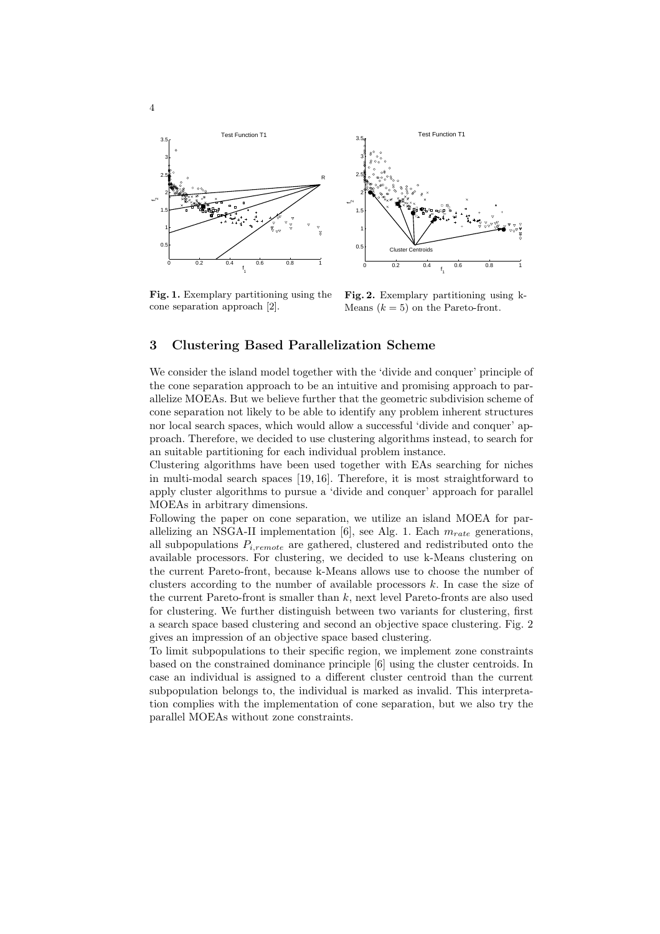

**Fig. 1.** Exemplary partitioning using the cone separation approach [2].

**Fig. 2.** Exemplary partitioning using k-Means  $(k = 5)$  on the Pareto-front.

# **3 Clustering Based Parallelization Scheme**

We consider the island model together with the 'divide and conquer' principle of the cone separation approach to be an intuitive and promising approach to parallelize MOEAs. But we believe further that the geometric subdivision scheme of cone separation not likely to be able to identify any problem inherent structures nor local search spaces, which would allow a successful 'divide and conquer' approach. Therefore, we decided to use clustering algorithms instead, to search for an suitable partitioning for each individual problem instance.

Clustering algorithms have been used together with EAs searching for niches in multi-modal search spaces [19, 16]. Therefore, it is most straightforward to apply cluster algorithms to pursue a 'divide and conquer' approach for parallel MOEAs in arbitrary dimensions.

Following the paper on cone separation, we utilize an island MOEA for parallelizing an NSGA-II implementation [6], see Alg. 1. Each <sup>m</sup>*rate* generations, all subpopulations <sup>P</sup>*i,remote* are gathered, clustered and redistributed onto the available processors. For clustering, we decided to use k-Means clustering on the current Pareto-front, because k-Means allows use to choose the number of clusters according to the number of available processors k. In case the size of the current Pareto-front is smaller than  $k$ , next level Pareto-fronts are also used for clustering. We further distinguish between two variants for clustering, first a search space based clustering and second an objective space clustering. Fig. 2 gives an impression of an objective space based clustering.

To limit subpopulations to their specific region, we implement zone constraints based on the constrained dominance principle [6] using the cluster centroids. In case an individual is assigned to a different cluster centroid than the current subpopulation belongs to, the individual is marked as invalid. This interpretation complies with the implementation of cone separation, but we also try the parallel MOEAs without zone constraints.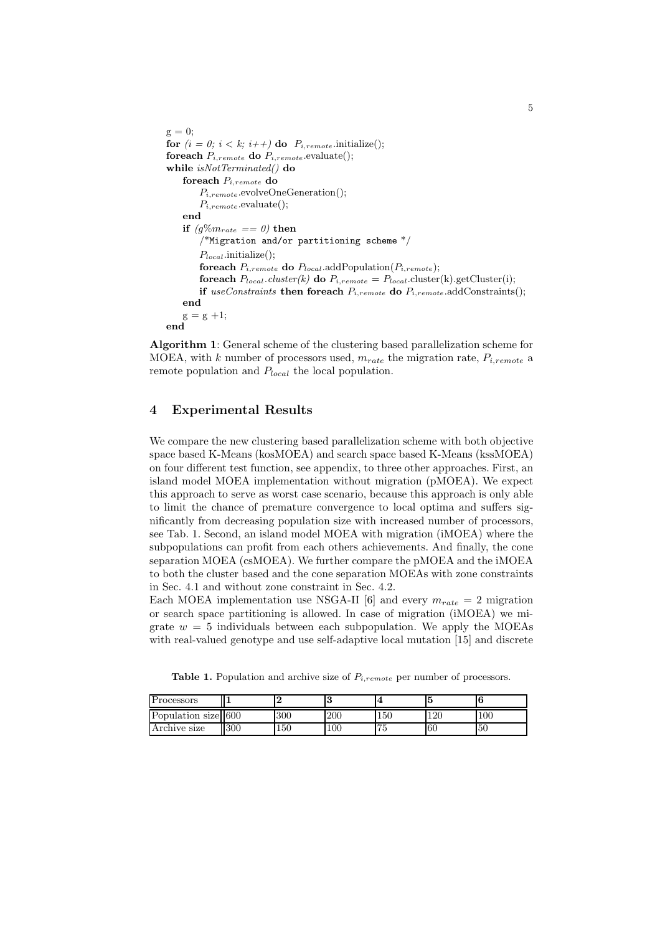```
g = 0;
for (i = 0; i < k; i++) do P_{i, remote}.initialize();
foreach P_{i, remote} do P_{i, remote}.evaluate();
while isNotTerminated() do
    foreach Pi,remote do
        Pi,remote.evolveOneGeneration();
        Pi,remote.evaluate();
    end
    if (g\%m_{rate} == 0) then
        /*Migration and/or partitioning scheme */Plocal.initialize();
        foreach P_{i, remote} do P_{local}.addPopulation(P_{i,remote});
        foreach P_{local}.cluster(k) do P_{i,remote} = P_{local}.cluster(k).getCluster(i);if useConstraints then foreach P_{i, remote} do P_{i, remote}.addConstraints();
    end
    g = g +1;end
```
**Algorithm 1**: General scheme of the clustering based parallelization scheme for MOEA, with <sup>k</sup> number of processors used, <sup>m</sup>*rate* the migration rate, <sup>P</sup>*i,remote* <sup>a</sup> remote population and <sup>P</sup>*local* the local population.

## **4 Experimental Results**

We compare the new clustering based parallelization scheme with both objective space based K-Means (kosMOEA) and search space based K-Means (kssMOEA) on four different test function, see appendix, to three other approaches. First, an island model MOEA implementation without migration (pMOEA). We expect this approach to serve as worst case scenario, because this approach is only able to limit the chance of premature convergence to local optima and suffers significantly from decreasing population size with increased number of processors, see Tab. 1. Second, an island model MOEA with migration (iMOEA) where the subpopulations can profit from each others achievements. And finally, the cone separation MOEA (csMOEA). We further compare the pMOEA and the iMOEA to both the cluster based and the cone separation MOEAs with zone constraints in Sec. 4.1 and without zone constraint in Sec. 4.2.

Each MOEA implementation use NSGA-II [6] and every  $m_{rate} = 2$  migration or search space partitioning is allowed. In case of migration (iMOEA) we migrate  $w = 5$  individuals between each subpopulation. We apply the MOEAs with real-valued genotype and use self-adaptive local mutation [15] and discrete

**Table 1.** Population and archive size of *<sup>P</sup>i,remote* per number of processors.

| Processors          |     |     |     |             |     |     |
|---------------------|-----|-----|-----|-------------|-----|-----|
| Population size 600 |     | 300 | 200 | 150         | 120 | 100 |
| Archive size        | 300 | 150 | 100 | $- -$<br>61 | 60  | 50  |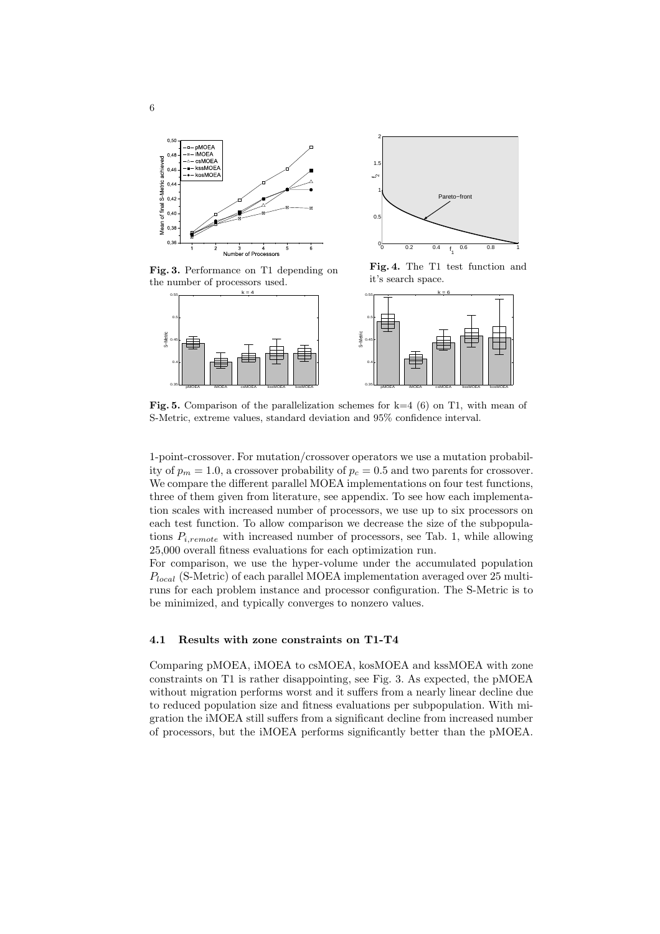



**Fig. 3.** Performance on T1 depending on the number of processors used.







**Fig. 5.** Comparison of the parallelization schemes for k=4 (6) on T1, with mean of S-Metric, extreme values, standard deviation and 95% confidence interval.

1-point-crossover. For mutation/crossover operators we use a mutation probability of  $p_m = 1.0$ , a crossover probability of  $p_c = 0.5$  and two parents for crossover. We compare the different parallel MOEA implementations on four test functions, three of them given from literature, see appendix. To see how each implementation scales with increased number of processors, we use up to six processors on each test function. To allow comparison we decrease the size of the subpopulations <sup>P</sup>*i,remote* with increased number of processors, see Tab. 1, while allowing 25,000 overall fitness evaluations for each optimization run.

For comparison, we use the hyper-volume under the accumulated population <sup>P</sup>*local* (S-Metric) of each parallel MOEA implementation averaged over 25 multiruns for each problem instance and processor configuration. The S-Metric is to be minimized, and typically converges to nonzero values.

#### **4.1 Results with zone constraints on T1-T4**

Comparing pMOEA, iMOEA to csMOEA, kosMOEA and kssMOEA with zone constraints on T1 is rather disappointing, see Fig. 3. As expected, the pMOEA without migration performs worst and it suffers from a nearly linear decline due to reduced population size and fitness evaluations per subpopulation. With migration the iMOEA still suffers from a significant decline from increased number of processors, but the iMOEA performs significantly better than the pMOEA.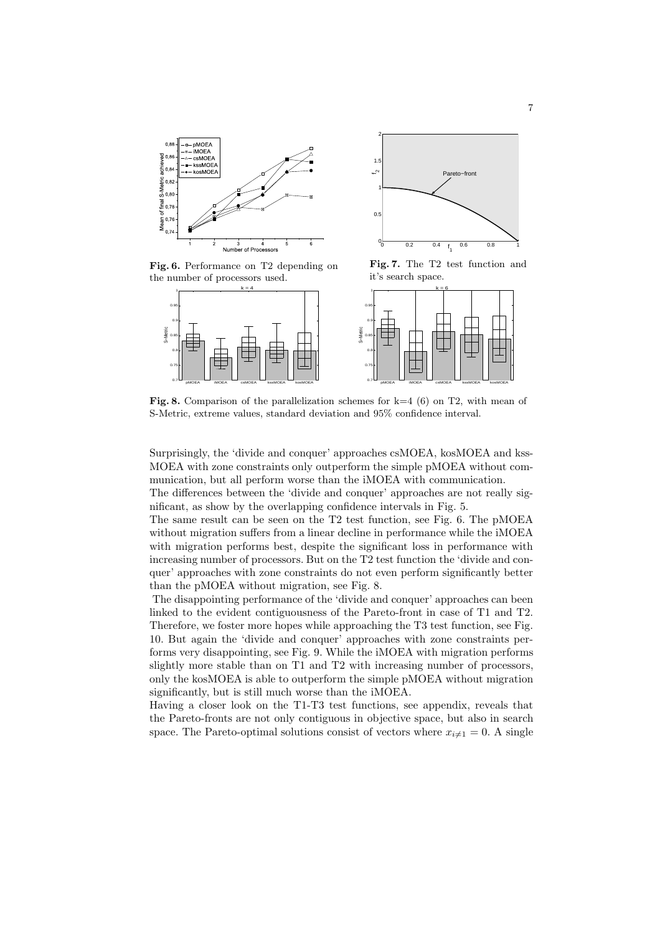

 $0$  0.2 0.4 f 0.6 0.8 1  $0.5$ 1  $1.5$ 2 f 1  $\mathbf{r}$ Pareto−front

**Fig. 6.** Performance on T2 depending on the number of processors used.



**Fig. 7.** The T2 test function and it's search space.



**Fig. 8.** Comparison of the parallelization schemes for  $k=4$  (6) on T2, with mean of S-Metric, extreme values, standard deviation and 95% confidence interval.

Surprisingly, the 'divide and conquer' approaches csMOEA, kosMOEA and kss-MOEA with zone constraints only outperform the simple pMOEA without communication, but all perform worse than the iMOEA with communication.

The differences between the 'divide and conquer' approaches are not really significant, as show by the overlapping confidence intervals in Fig. 5.

The same result can be seen on the T2 test function, see Fig. 6. The pMOEA without migration suffers from a linear decline in performance while the iMOEA with migration performs best, despite the significant loss in performance with increasing number of processors. But on the T2 test function the 'divide and conquer' approaches with zone constraints do not even perform significantly better than the pMOEA without migration, see Fig. 8.

The disappointing performance of the 'divide and conquer' approaches can been linked to the evident contiguousness of the Pareto-front in case of T1 and T2. Therefore, we foster more hopes while approaching the T3 test function, see Fig. 10. But again the 'divide and conquer' approaches with zone constraints performs very disappointing, see Fig. 9. While the iMOEA with migration performs slightly more stable than on T1 and T2 with increasing number of processors, only the kosMOEA is able to outperform the simple pMOEA without migration significantly, but is still much worse than the iMOEA.

Having a closer look on the T1-T3 test functions, see appendix, reveals that the Pareto-fronts are not only contiguous in objective space, but also in search space. The Pareto-optimal solutions consist of vectors where  $x_{i\neq 1} = 0$ . A single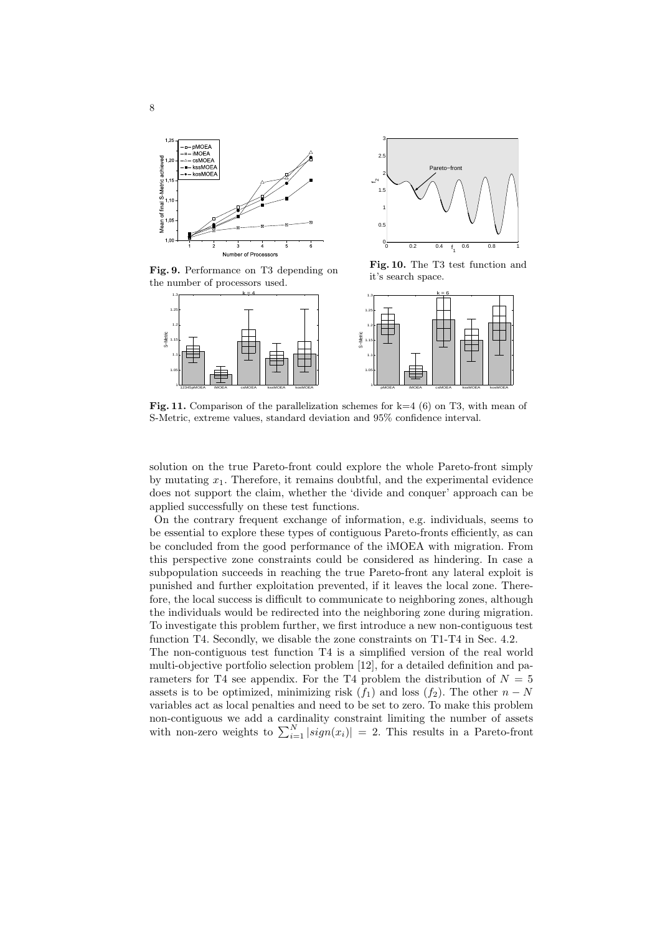



it's search space.

**Fig. 9.** Performance on T3 depending on the number of processors used.



Fig. 11. Comparison of the parallelization schemes for k=4 (6) on T3, with mean of S-Metric, extreme values, standard deviation and 95% confidence interval.

solution on the true Pareto-front could explore the whole Pareto-front simply by mutating  $x_1$ . Therefore, it remains doubtful, and the experimental evidence does not support the claim, whether the 'divide and conquer' approach can be applied successfully on these test functions.

On the contrary frequent exchange of information, e.g. individuals, seems to be essential to explore these types of contiguous Pareto-fronts efficiently, as can be concluded from the good performance of the iMOEA with migration. From this perspective zone constraints could be considered as hindering. In case a subpopulation succeeds in reaching the true Pareto-front any lateral exploit is punished and further exploitation prevented, if it leaves the local zone. Therefore, the local success is difficult to communicate to neighboring zones, although the individuals would be redirected into the neighboring zone during migration. To investigate this problem further, we first introduce a new non-contiguous test function T4. Secondly, we disable the zone constraints on T1-T4 in Sec. 4.2.

The non-contiguous test function T4 is a simplified version of the real world multi-objective portfolio selection problem [12], for a detailed definition and parameters for T4 see appendix. For the T4 problem the distribution of  $N = 5$ assets is to be optimized, minimizing risk  $(f_1)$  and loss  $(f_2)$ . The other  $n - N$ variables act as local penalties and need to be set to zero. To make this problem non-contiguous we add a cardinality constraint limiting the number of assets with non-zero weights to  $\sum_{i=1}^{N} |sign(x_i)| = 2$ . This results in a Pareto-front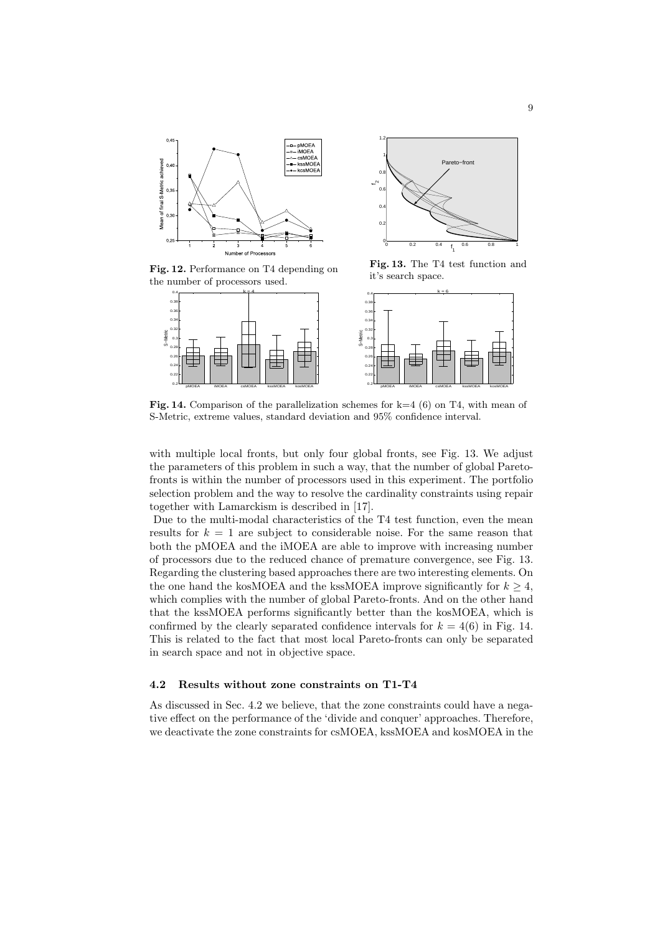



**Fig. 12.** Performance on T4 depending on the number of processors used.



**Fig. 13.** The T4 test function and it's search space.



**Fig. 14.** Comparison of the parallelization schemes for k=4 (6) on T4, with mean of S-Metric, extreme values, standard deviation and 95% confidence interval.

with multiple local fronts, but only four global fronts, see Fig. 13. We adjust the parameters of this problem in such a way, that the number of global Paretofronts is within the number of processors used in this experiment. The portfolio selection problem and the way to resolve the cardinality constraints using repair together with Lamarckism is described in [17].

Due to the multi-modal characteristics of the T4 test function, even the mean results for  $k = 1$  are subject to considerable noise. For the same reason that both the pMOEA and the iMOEA are able to improve with increasing number of processors due to the reduced chance of premature convergence, see Fig. 13. Regarding the clustering based approaches there are two interesting elements. On the one hand the kosMOEA and the kssMOEA improve significantly for  $k \geq 4$ , which complies with the number of global Pareto-fronts. And on the other hand that the kssMOEA performs significantly better than the kosMOEA, which is confirmed by the clearly separated confidence intervals for  $k = 4(6)$  in Fig. 14. This is related to the fact that most local Pareto-fronts can only be separated in search space and not in objective space.

#### **4.2 Results without zone constraints on T1-T4**

As discussed in Sec. 4.2 we believe, that the zone constraints could have a negative effect on the performance of the 'divide and conquer' approaches. Therefore, we deactivate the zone constraints for csMOEA, kssMOEA and kosMOEA in the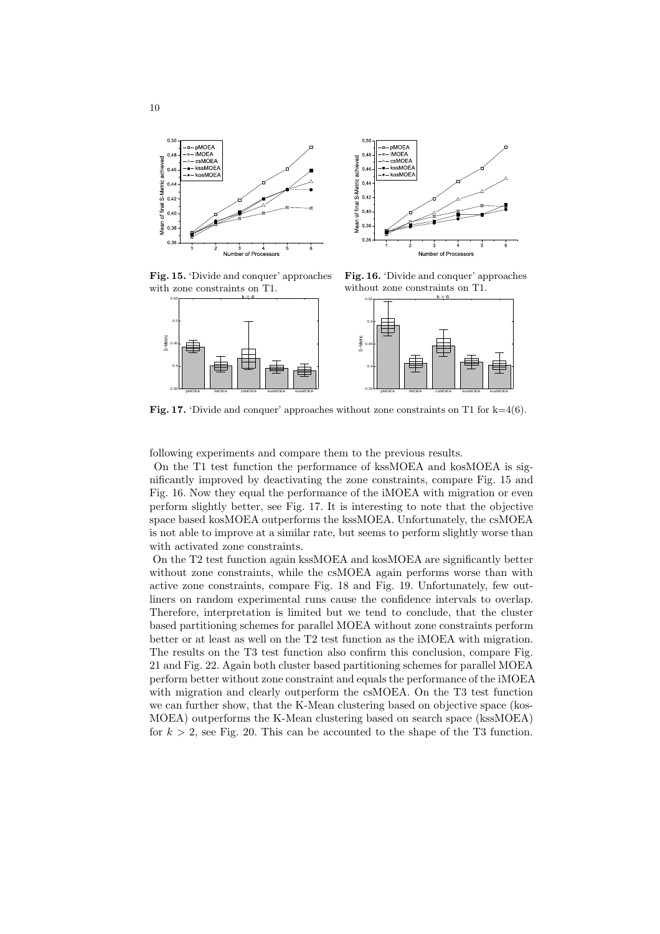



**Fig. 15.** 'Divide and conquer' approaches with zone constraints on T1.

**Fig. 16.** 'Divide and conquer' approaches without zone constraints on T1.



**Fig. 17.** 'Divide and conquer' approaches without zone constraints on T1 for k=4(6).

following experiments and compare them to the previous results.

On the T1 test function the performance of kssMOEA and kosMOEA is significantly improved by deactivating the zone constraints, compare Fig. 15 and Fig. 16. Now they equal the performance of the iMOEA with migration or even perform slightly better, see Fig. 17. It is interesting to note that the objective space based kosMOEA outperforms the kssMOEA. Unfortunately, the csMOEA is not able to improve at a similar rate, but seems to perform slightly worse than with activated zone constraints.

On the T2 test function again kssMOEA and kosMOEA are significantly better without zone constraints, while the csMOEA again performs worse than with active zone constraints, compare Fig. 18 and Fig. 19. Unfortunately, few outliners on random experimental runs cause the confidence intervals to overlap. Therefore, interpretation is limited but we tend to conclude, that the cluster based partitioning schemes for parallel MOEA without zone constraints perform better or at least as well on the T2 test function as the iMOEA with migration. The results on the T3 test function also confirm this conclusion, compare Fig. 21 and Fig. 22. Again both cluster based partitioning schemes for parallel MOEA perform better without zone constraint and equals the performance of the iMOEA with migration and clearly outperform the csMOEA. On the T3 test function we can further show, that the K-Mean clustering based on objective space (kos-MOEA) outperforms the K-Mean clustering based on search space (kssMOEA) for  $k > 2$ , see Fig. 20. This can be accounted to the shape of the T3 function.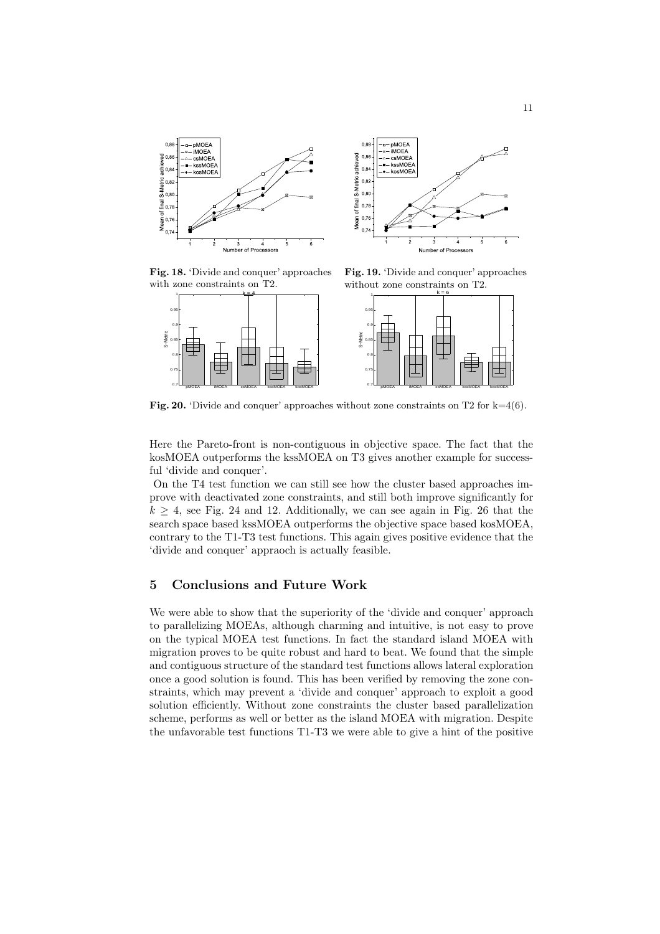



**Fig. 19.** 'Divide and conquer' approaches

**Fig. 18.** 'Divide and conquer' approaches with zone constraints on T2.



**Fig. 20.** 'Divide and conquer' approaches without zone constraints on T2 for k=4(6).

Here the Pareto-front is non-contiguous in objective space. The fact that the kosMOEA outperforms the kssMOEA on T3 gives another example for successful 'divide and conquer'.

On the T4 test function we can still see how the cluster based approaches improve with deactivated zone constraints, and still both improve significantly for  $k > 4$ , see Fig. 24 and 12. Additionally, we can see again in Fig. 26 that the search space based kssMOEA outperforms the objective space based kosMOEA, contrary to the T1-T3 test functions. This again gives positive evidence that the 'divide and conquer' appraoch is actually feasible.

## **5 Conclusions and Future Work**

We were able to show that the superiority of the 'divide and conquer' approach to parallelizing MOEAs, although charming and intuitive, is not easy to prove on the typical MOEA test functions. In fact the standard island MOEA with migration proves to be quite robust and hard to beat. We found that the simple and contiguous structure of the standard test functions allows lateral exploration once a good solution is found. This has been verified by removing the zone constraints, which may prevent a 'divide and conquer' approach to exploit a good solution efficiently. Without zone constraints the cluster based parallelization scheme, performs as well or better as the island MOEA with migration. Despite the unfavorable test functions T1-T3 we were able to give a hint of the positive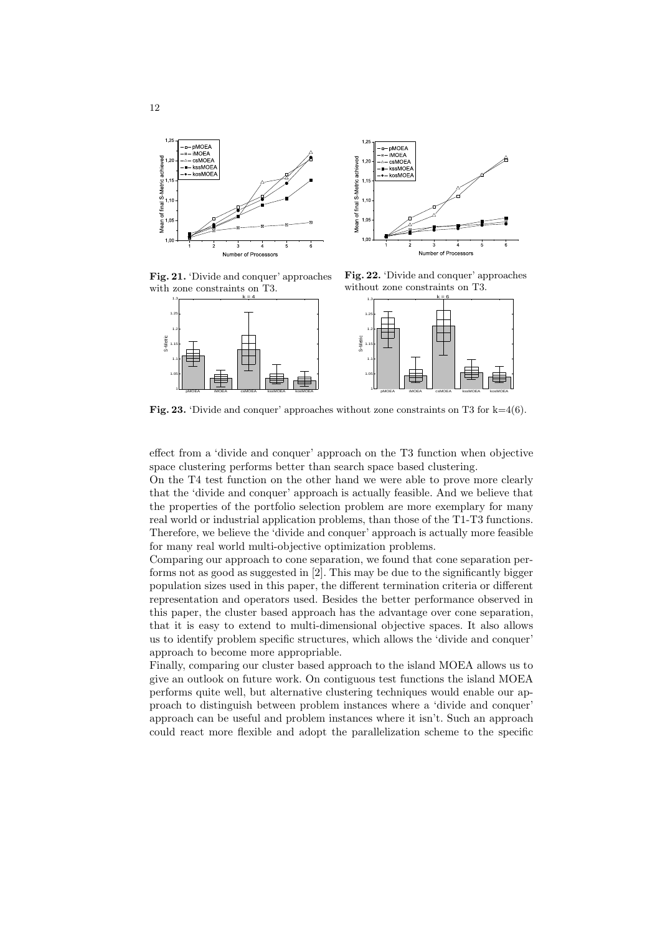



**Fig. 21.** 'Divide and conquer' approaches with zone constraints on T3.

**Fig. 22.** 'Divide and conquer' approaches without zone constraints on T3.



**Fig. 23.** 'Divide and conquer' approaches without zone constraints on T3 for k=4(6).

effect from a 'divide and conquer' approach on the T3 function when objective space clustering performs better than search space based clustering.

On the T4 test function on the other hand we were able to prove more clearly that the 'divide and conquer' approach is actually feasible. And we believe that the properties of the portfolio selection problem are more exemplary for many real world or industrial application problems, than those of the T1-T3 functions. Therefore, we believe the 'divide and conquer' approach is actually more feasible for many real world multi-objective optimization problems.

Comparing our approach to cone separation, we found that cone separation performs not as good as suggested in [2]. This may be due to the significantly bigger population sizes used in this paper, the different termination criteria or different representation and operators used. Besides the better performance observed in this paper, the cluster based approach has the advantage over cone separation, that it is easy to extend to multi-dimensional objective spaces. It also allows us to identify problem specific structures, which allows the 'divide and conquer' approach to become more appropriable.

Finally, comparing our cluster based approach to the island MOEA allows us to give an outlook on future work. On contiguous test functions the island MOEA performs quite well, but alternative clustering techniques would enable our approach to distinguish between problem instances where a 'divide and conquer' approach can be useful and problem instances where it isn't. Such an approach could react more flexible and adopt the parallelization scheme to the specific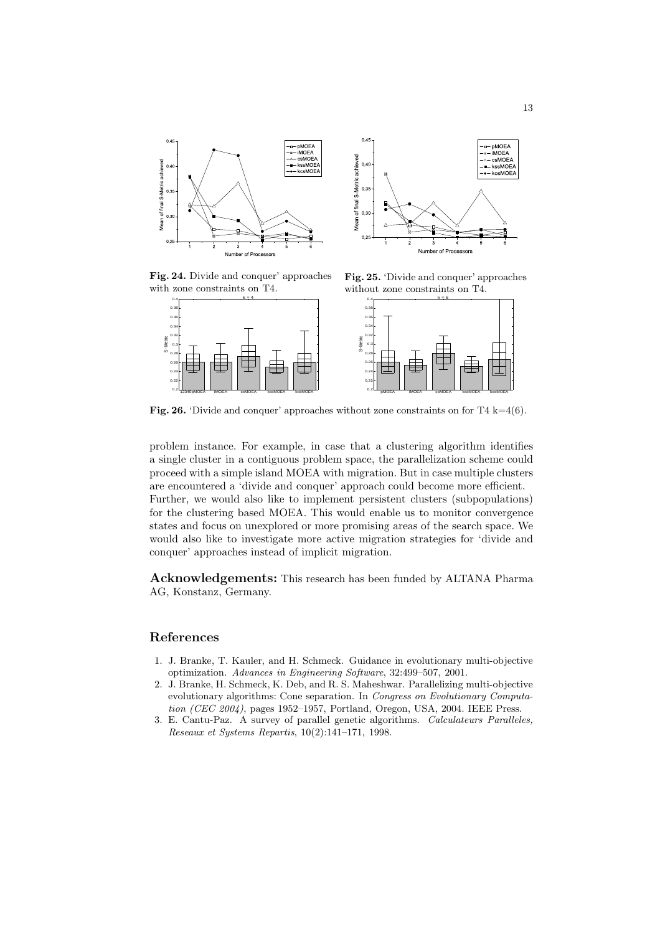



**Fig. 24.** Divide and conquer' approaches with zone constraints on T4.

**Fig. 25.** 'Divide and conquer' approaches without zone constraints on T4.



**Fig. 26.** 'Divide and conquer' approaches without zone constraints on for T4 k=4(6).

problem instance. For example, in case that a clustering algorithm identifies a single cluster in a contiguous problem space, the parallelization scheme could proceed with a simple island MOEA with migration. But in case multiple clusters are encountered a 'divide and conquer' approach could become more efficient. Further, we would also like to implement persistent clusters (subpopulations) for the clustering based MOEA. This would enable us to monitor convergence states and focus on unexplored or more promising areas of the search space. We would also like to investigate more active migration strategies for 'divide and conquer' approaches instead of implicit migration.

**Acknowledgements:** This research has been funded by ALTANA Pharma AG, Konstanz, Germany.

### **References**

- 1. J. Branke, T. Kauler, and H. Schmeck. Guidance in evolutionary multi-objective optimization. Advances in Engineering Software, 32:499–507, 2001.
- 2. J. Branke, H. Schmeck, K. Deb, and R. S. Maheshwar. Parallelizing multi-objective evolutionary algorithms: Cone separation. In Congress on Evolutionary Computation (CEC 2004), pages 1952–1957, Portland, Oregon, USA, 2004. IEEE Press.
- 3. E. Cantu-Paz. A survey of parallel genetic algorithms. Calculateurs Paralleles, Reseaux et Systems Repartis, 10(2):141–171, 1998.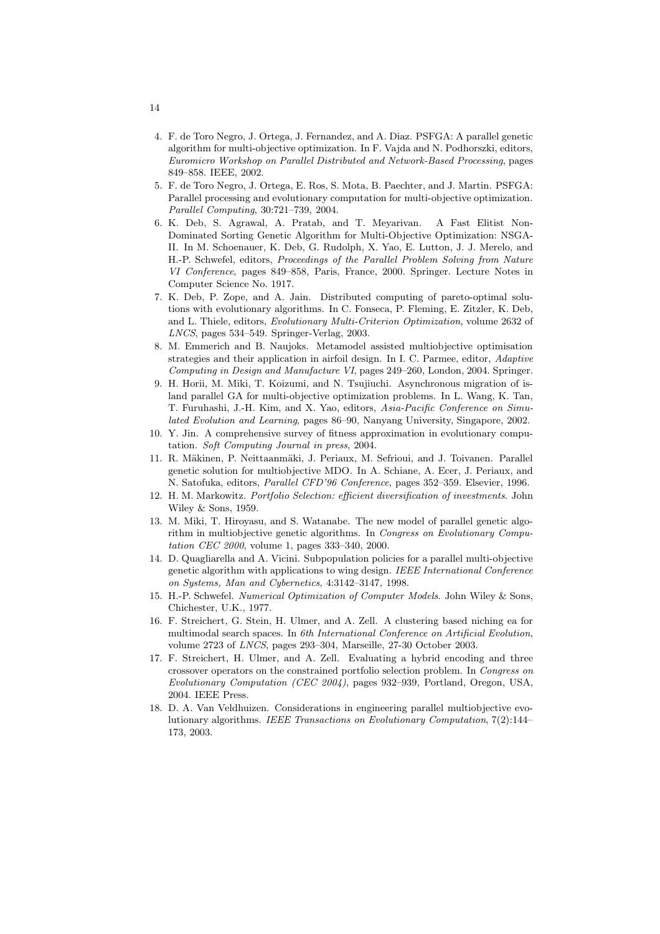- 4. F. de Toro Negro, J. Ortega, J. Fernandez, and A. Diaz. PSFGA: A parallel genetic algorithm for multi-objective optimization. In F. Vajda and N. Podhorszki, editors, Euromicro Workshop on Parallel Distributed and Network-Based Processing, pages 849–858. IEEE, 2002.
- 5. F. de Toro Negro, J. Ortega, E. Ros, S. Mota, B. Paechter, and J. Martin. PSFGA: Parallel processing and evolutionary computation for multi-objective optimization. Parallel Computing, 30:721–739, 2004.
- 6. K. Deb, S. Agrawal, A. Pratab, and T. Meyarivan. A Fast Elitist Non-Dominated Sorting Genetic Algorithm for Multi-Objective Optimization: NSGA-II. In M. Schoenauer, K. Deb, G. Rudolph, X. Yao, E. Lutton, J. J. Merelo, and H.-P. Schwefel, editors, Proceedings of the Parallel Problem Solving from Nature VI Conference, pages 849–858, Paris, France, 2000. Springer. Lecture Notes in Computer Science No. 1917.
- 7. K. Deb, P. Zope, and A. Jain. Distributed computing of pareto-optimal solutions with evolutionary algorithms. In C. Fonseca, P. Fleming, E. Zitzler, K. Deb, and L. Thiele, editors, Evolutionary Multi-Criterion Optimization, volume 2632 of LNCS, pages 534–549. Springer-Verlag, 2003.
- 8. M. Emmerich and B. Naujoks. Metamodel assisted multiobjective optimisation strategies and their application in airfoil design. In I. C. Parmee, editor, Adaptive Computing in Design and Manufacture VI, pages 249–260, London, 2004. Springer.
- 9. H. Horii, M. Miki, T. Koizumi, and N. Tsujiuchi. Asynchronous migration of island parallel GA for multi-objective optimization problems. In L. Wang, K. Tan, T. Furuhashi, J.-H. Kim, and X. Yao, editors, Asia-Pacific Conference on Simulated Evolution and Learning, pages 86–90, Nanyang University, Singapore, 2002.
- 10. Y. Jin. A comprehensive survey of fitness approximation in evolutionary computation. Soft Computing Journal in press, 2004.
- 11. R. Mäkinen, P. Neittaanmäki, J. Periaux, M. Sefrioui, and J. Toivanen. Parallel genetic solution for multiobjective MDO. In A. Schiane, A. Ecer, J. Periaux, and N. Satofuka, editors, Parallel CFD'96 Conference, pages 352–359. Elsevier, 1996.
- 12. H. M. Markowitz. Portfolio Selection: efficient diversification of investments. John Wiley & Sons, 1959.
- 13. M. Miki, T. Hiroyasu, and S. Watanabe. The new model of parallel genetic algorithm in multiobjective genetic algorithms. In Congress on Evolutionary Computation CEC 2000, volume 1, pages 333–340, 2000.
- 14. D. Quagliarella and A. Vicini. Subpopulation policies for a parallel multi-objective genetic algorithm with applications to wing design. IEEE International Conference on Systems, Man and Cybernetics, 4:3142–3147, 1998.
- 15. H.-P. Schwefel. Numerical Optimization of Computer Models. John Wiley & Sons, Chichester, U.K., 1977.
- 16. F. Streichert, G. Stein, H. Ulmer, and A. Zell. A clustering based niching ea for multimodal search spaces. In 6th International Conference on Artificial Evolution, volume 2723 of LNCS, pages 293–304, Marseille, 27-30 October 2003.
- 17. F. Streichert, H. Ulmer, and A. Zell. Evaluating a hybrid encoding and three crossover operators on the constrained portfolio selection problem. In Congress on Evolutionary Computation (CEC 2004), pages 932–939, Portland, Oregon, USA, 2004. IEEE Press.
- 18. D. A. Van Veldhuizen. Considerations in engineering parallel multiobjective evolutionary algorithms. IEEE Transactions on Evolutionary Computation, 7(2):144– 173, 2003.

14